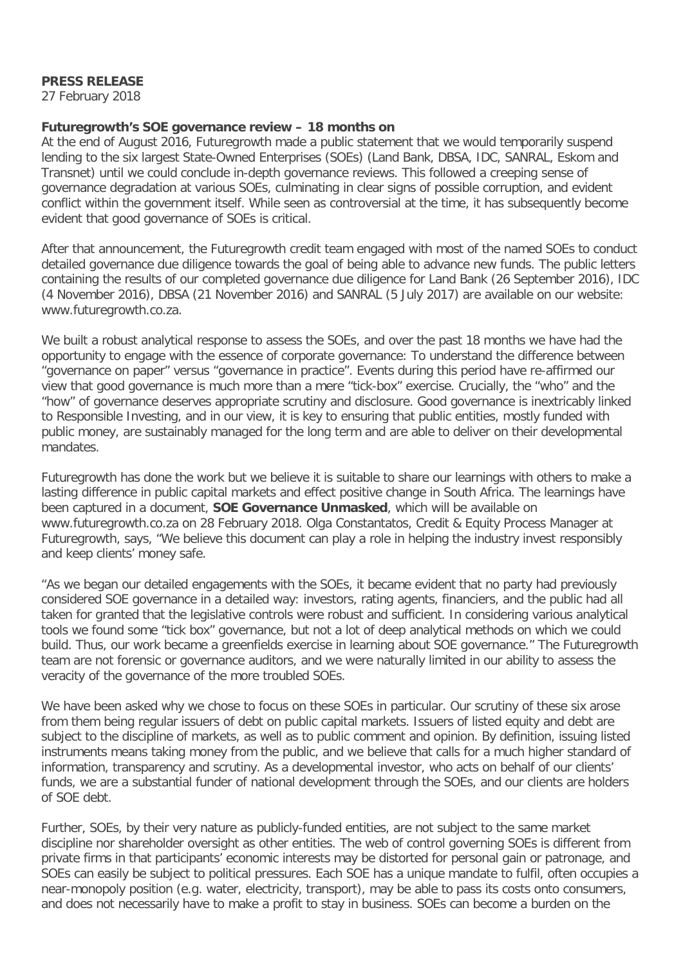## **PRESS RELEASE**

27 February 2018

## **Futuregrowth's SOE governance review – 18 months on**

At the end of August 2016, Futuregrowth made a public statement that we would temporarily suspend lending to the six largest State-Owned Enterprises (SOEs) (Land Bank, DBSA, IDC, SANRAL, Eskom and Transnet) until we could conclude in-depth governance reviews. This followed a creeping sense of governance degradation at various SOEs, culminating in clear signs of possible corruption, and evident conflict within the government itself. While seen as controversial at the time, it has subsequently become evident that good governance of SOEs is critical.

After that announcement, the Futuregrowth credit team engaged with most of the named SOEs to conduct detailed governance due diligence towards the goal of being able to advance new funds. The public letters containing the results of our completed governance due diligence for Land Bank (26 September 2016), IDC (4 November 2016), DBSA (21 November 2016) and SANRAL (5 July 2017) are available on our website: www.futuregrowth.co.za.

We built a robust analytical response to assess the SOEs, and over the past 18 months we have had the opportunity to engage with the essence of corporate governance: To understand the difference between "governance on paper" versus "governance in practice". Events during this period have re-affirmed our view that good governance is much more than a mere "tick-box" exercise. Crucially, the "who" and the "how" of governance deserves appropriate scrutiny and disclosure. Good governance is inextricably linked to Responsible Investing, and in our view, it is key to ensuring that public entities, mostly funded with public money, are sustainably managed for the long term and are able to deliver on their developmental mandates.

Futuregrowth has done the work but we believe it is suitable to share our learnings with others to make a lasting difference in public capital markets and effect positive change in South Africa. The learnings have been captured in a document, **SOE Governance Unmasked**, which will be available on www.futuregrowth.co.za on 28 February 2018. Olga Constantatos, Credit & Equity Process Manager at Futuregrowth, says, "We believe this document can play a role in helping the industry invest responsibly and keep clients' money safe.

"As we began our detailed engagements with the SOEs, it became evident that no party had previously considered SOE governance in a detailed way: investors, rating agents, financiers, and the public had all taken for granted that the legislative controls were robust and sufficient. In considering various analytical tools we found some "tick box" governance, but not a lot of deep analytical methods on which we could build. Thus, our work became a greenfields exercise in learning about SOE governance." The Futuregrowth team are not forensic or governance auditors, and we were naturally limited in our ability to assess the veracity of the governance of the more troubled SOEs.

We have been asked why we chose to focus on these SOEs in particular. Our scrutiny of these six arose from them being regular issuers of debt on public capital markets. Issuers of listed equity and debt are subject to the discipline of markets, as well as to public comment and opinion. By definition, issuing listed instruments means taking money from the public, and we believe that calls for a much higher standard of information, transparency and scrutiny. As a developmental investor, who acts on behalf of our clients' funds, we are a substantial funder of national development through the SOEs, and our clients are holders of SOE debt.

Further, SOEs, by their very nature as publicly-funded entities, are not subject to the same market discipline nor shareholder oversight as other entities. The web of control governing SOEs is different from private firms in that participants' economic interests may be distorted for personal gain or patronage, and SOEs can easily be subject to political pressures. Each SOE has a unique mandate to fulfil, often occupies a near-monopoly position (e.g. water, electricity, transport), may be able to pass its costs onto consumers, and does not necessarily have to make a profit to stay in business. SOEs can become a burden on the